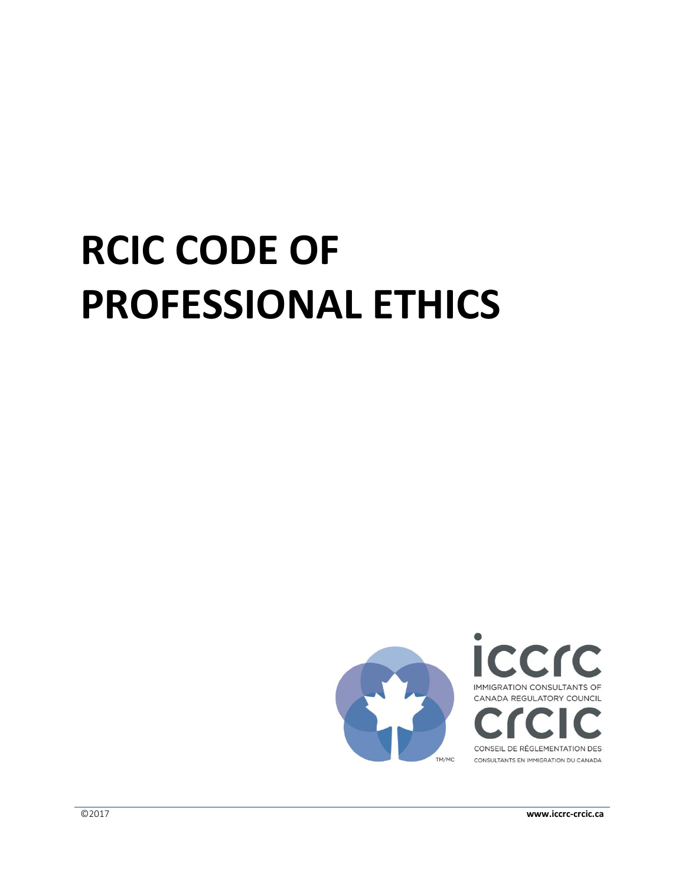# **RCIC CODE OF PROFESSIONAL ETHICS**

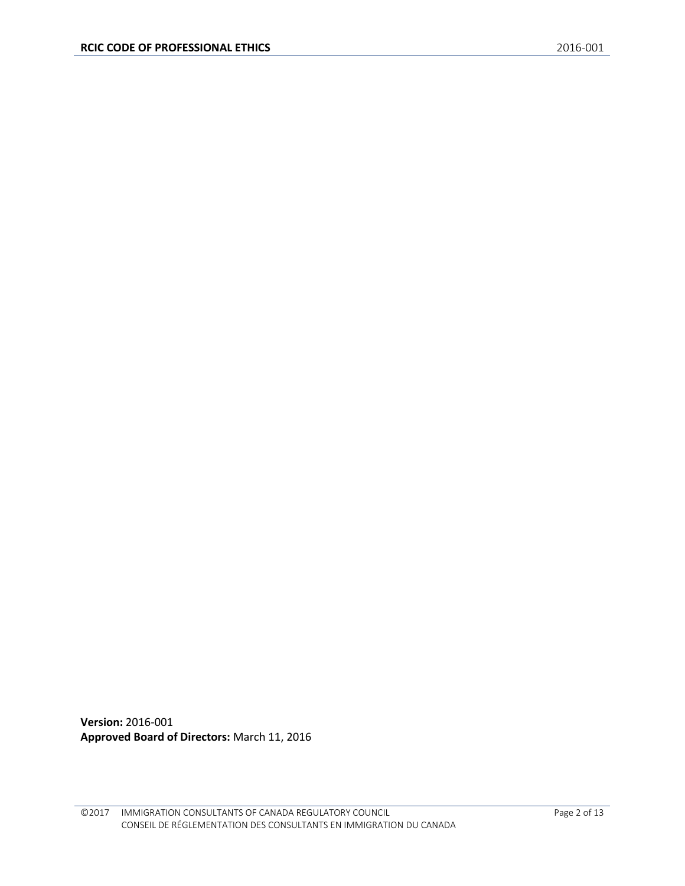**Version:** 2016-001 **Approved Board of Directors:** March 11, 2016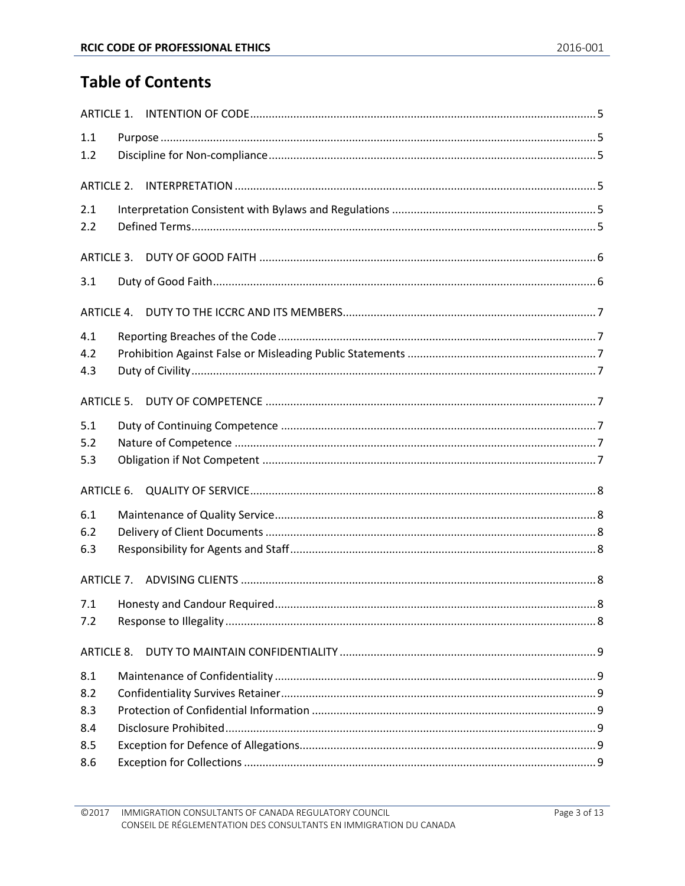# **Table of Contents**

| 1.1                  |  |
|----------------------|--|
| 1.2                  |  |
|                      |  |
|                      |  |
| 2.1                  |  |
| 2.2                  |  |
|                      |  |
| 3.1                  |  |
|                      |  |
| 4.1                  |  |
| 4.2                  |  |
| 4.3                  |  |
| ARTICLE <sub>5</sub> |  |
| 5.1                  |  |
| 5.2                  |  |
| 5.3                  |  |
| ARTICLE 6.           |  |
| 6.1                  |  |
| 6.2                  |  |
| 6.3                  |  |
|                      |  |
| 7.1                  |  |
| 7.2                  |  |
| <b>ARTICLE 8.</b>    |  |
| 8.1                  |  |
| 8.2                  |  |
| 8.3                  |  |
| 8.4                  |  |
| 8.5                  |  |
| 8.6                  |  |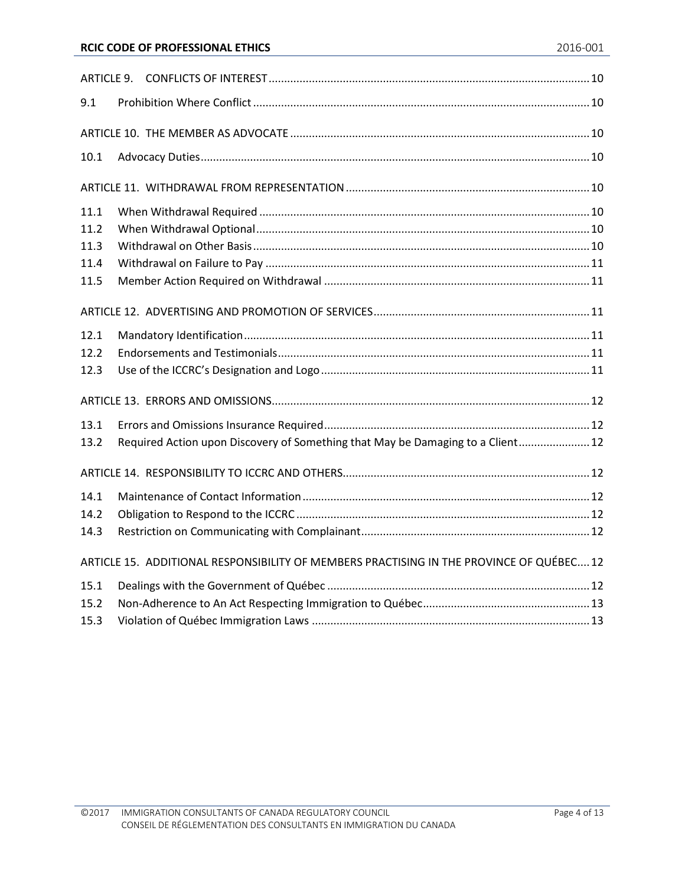| 9.1  |  |                                                                                          |  |  |  |
|------|--|------------------------------------------------------------------------------------------|--|--|--|
|      |  |                                                                                          |  |  |  |
| 10.1 |  |                                                                                          |  |  |  |
|      |  |                                                                                          |  |  |  |
| 11.1 |  |                                                                                          |  |  |  |
| 11.2 |  |                                                                                          |  |  |  |
| 11.3 |  |                                                                                          |  |  |  |
| 11.4 |  |                                                                                          |  |  |  |
| 11.5 |  |                                                                                          |  |  |  |
|      |  |                                                                                          |  |  |  |
| 12.1 |  |                                                                                          |  |  |  |
| 12.2 |  |                                                                                          |  |  |  |
| 12.3 |  |                                                                                          |  |  |  |
|      |  |                                                                                          |  |  |  |
| 13.1 |  |                                                                                          |  |  |  |
| 13.2 |  | Required Action upon Discovery of Something that May be Damaging to a Client 12          |  |  |  |
|      |  |                                                                                          |  |  |  |
| 14.1 |  |                                                                                          |  |  |  |
| 14.2 |  |                                                                                          |  |  |  |
| 14.3 |  |                                                                                          |  |  |  |
|      |  | ARTICLE 15. ADDITIONAL RESPONSIBILITY OF MEMBERS PRACTISING IN THE PROVINCE OF QUÉBEC 12 |  |  |  |
| 15.1 |  |                                                                                          |  |  |  |
| 15.2 |  |                                                                                          |  |  |  |
| 15.3 |  |                                                                                          |  |  |  |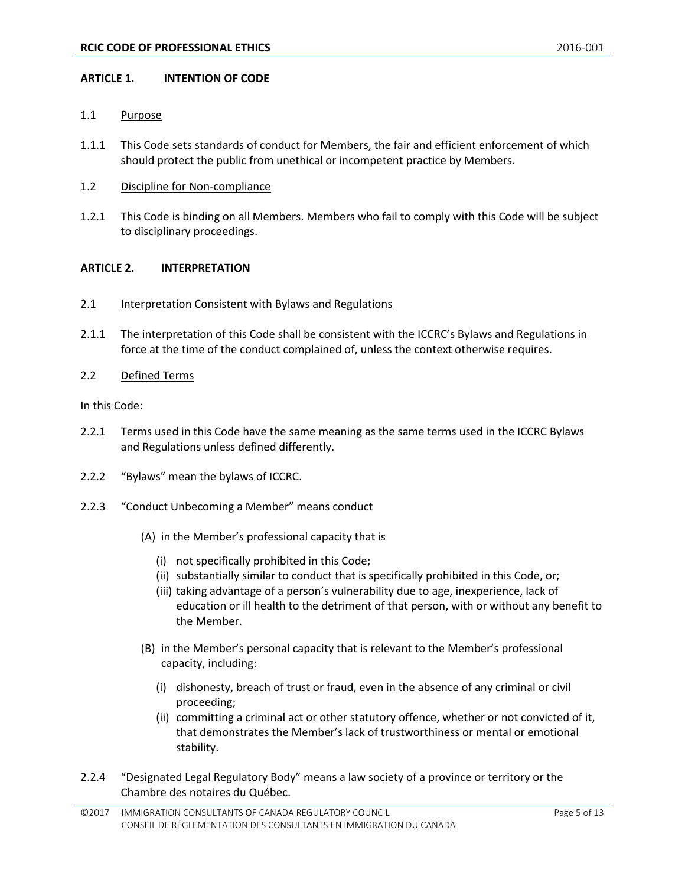#### <span id="page-4-0"></span>**ARTICLE 1. INTENTION OF CODE**

#### <span id="page-4-1"></span>1.1 Purpose

- 1.1.1 This Code sets standards of conduct for Members, the fair and efficient enforcement of which should protect the public from unethical or incompetent practice by Members.
- <span id="page-4-2"></span>1.2 Discipline for Non-compliance
- 1.2.1 This Code is binding on all Members. Members who fail to comply with this Code will be subject to disciplinary proceedings.

# <span id="page-4-3"></span>**ARTICLE 2. INTERPRETATION**

- <span id="page-4-4"></span>2.1 Interpretation Consistent with Bylaws and Regulations
- 2.1.1 The interpretation of this Code shall be consistent with the ICCRC's Bylaws and Regulations in force at the time of the conduct complained of, unless the context otherwise requires.
- <span id="page-4-5"></span>2.2 Defined Terms

In this Code:

- 2.2.1 Terms used in this Code have the same meaning as the same terms used in the ICCRC Bylaws and Regulations unless defined differently.
- 2.2.2 "Bylaws" mean the bylaws of ICCRC.
- 2.2.3 "Conduct Unbecoming a Member" means conduct
	- (A) in the Member's professional capacity that is
		- (i) not specifically prohibited in this Code;
		- (ii) substantially similar to conduct that is specifically prohibited in this Code, or;
		- (iii) taking advantage of a person's vulnerability due to age, inexperience, lack of education or ill health to the detriment of that person, with or without any benefit to the Member.
	- (B) in the Member's personal capacity that is relevant to the Member's professional capacity, including:
		- (i) dishonesty, breach of trust or fraud, even in the absence of any criminal or civil proceeding;
		- (ii) committing a criminal act or other statutory offence, whether or not convicted of it, that demonstrates the Member's lack of trustworthiness or mental or emotional stability.
- 2.2.4 "Designated Legal Regulatory Body" means a law society of a province or territory or the Chambre des notaires du Québec.

<sup>©2017</sup> IMMIGRATION CONSULTANTS OF CANADA REGULATORY COUNCIL CONSEIL DE RÉGLEMENTATION DES CONSULTANTS EN IMMIGRATION DU CANADA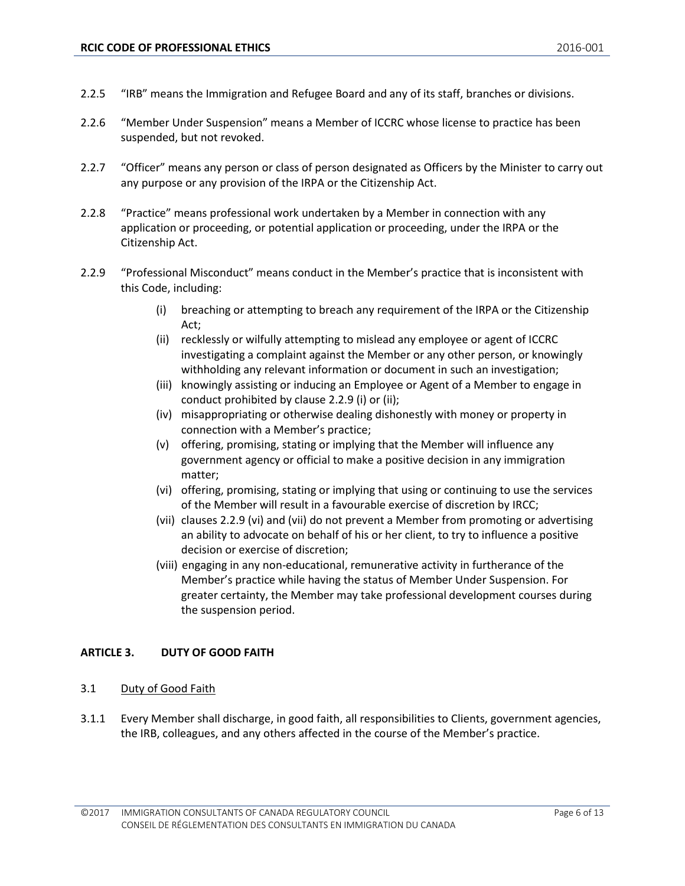- 2.2.5 "IRB" means the Immigration and Refugee Board and any of its staff, branches or divisions.
- 2.2.6 "Member Under Suspension" means a Member of ICCRC whose license to practice has been suspended, but not revoked.
- 2.2.7 "Officer" means any person or class of person designated as Officers by the Minister to carry out any purpose or any provision of the IRPA or the Citizenship Act.
- 2.2.8 "Practice" means professional work undertaken by a Member in connection with any application or proceeding, or potential application or proceeding, under the IRPA or the Citizenship Act.
- 2.2.9 "Professional Misconduct" means conduct in the Member's practice that is inconsistent with this Code, including:
	- (i) breaching or attempting to breach any requirement of the IRPA or the Citizenship Act;
	- (ii) recklessly or wilfully attempting to mislead any employee or agent of ICCRC investigating a complaint against the Member or any other person, or knowingly withholding any relevant information or document in such an investigation;
	- (iii) knowingly assisting or inducing an Employee or Agent of a Member to engage in conduct prohibited by clause 2.2.9 (i) or (ii);
	- (iv) misappropriating or otherwise dealing dishonestly with money or property in connection with a Member's practice;
	- (v) offering, promising, stating or implying that the Member will influence any government agency or official to make a positive decision in any immigration matter;
	- (vi) offering, promising, stating or implying that using or continuing to use the services of the Member will result in a favourable exercise of discretion by IRCC;
	- (vii) clauses 2.2.9 (vi) and (vii) do not prevent a Member from promoting or advertising an ability to advocate on behalf of his or her client, to try to influence a positive decision or exercise of discretion;
	- (viii) engaging in any non-educational, remunerative activity in furtherance of the Member's practice while having the status of Member Under Suspension. For greater certainty, the Member may take professional development courses during the suspension period.

# <span id="page-5-0"></span>**ARTICLE 3. DUTY OF GOOD FAITH**

#### <span id="page-5-1"></span>3.1 Duty of Good Faith

3.1.1 Every Member shall discharge, in good faith, all responsibilities to Clients, government agencies, the IRB, colleagues, and any others affected in the course of the Member's practice.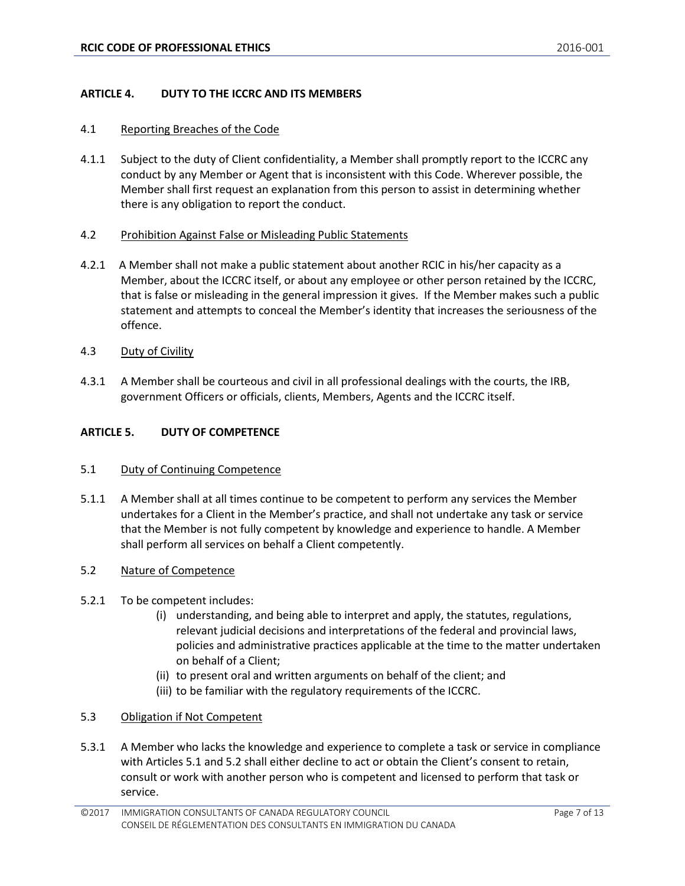#### <span id="page-6-0"></span>**ARTICLE 4. DUTY TO THE ICCRC AND ITS MEMBERS**

#### <span id="page-6-1"></span>4.1 Reporting Breaches of the Code

4.1.1 Subject to the duty of Client confidentiality, a Member shall promptly report to the ICCRC any conduct by any Member or Agent that is inconsistent with this Code. Wherever possible, the Member shall first request an explanation from this person to assist in determining whether there is any obligation to report the conduct.

#### <span id="page-6-2"></span>4.2 Prohibition Against False or Misleading Public Statements

- 4.2.1 A Member shall not make a public statement about another RCIC in his/her capacity as a Member, about the ICCRC itself, or about any employee or other person retained by the ICCRC, that is false or misleading in the general impression it gives. If the Member makes such a public statement and attempts to conceal the Member's identity that increases the seriousness of the offence.
- <span id="page-6-3"></span>4.3 Duty of Civility
- 4.3.1 A Member shall be courteous and civil in all professional dealings with the courts, the IRB, government Officers or officials, clients, Members, Agents and the ICCRC itself.

#### <span id="page-6-4"></span>**ARTICLE 5. DUTY OF COMPETENCE**

#### <span id="page-6-5"></span>5.1 Duty of Continuing Competence

5.1.1 A Member shall at all times continue to be competent to perform any services the Member undertakes for a Client in the Member's practice, and shall not undertake any task or service that the Member is not fully competent by knowledge and experience to handle. A Member shall perform all services on behalf a Client competently.

#### <span id="page-6-6"></span>5.2 Nature of Competence

#### 5.2.1 To be competent includes:

- (i) understanding, and being able to interpret and apply, the statutes, regulations, relevant judicial decisions and interpretations of the federal and provincial laws, policies and administrative practices applicable at the time to the matter undertaken on behalf of a Client;
- (ii) to present oral and written arguments on behalf of the client; and
- (iii) to be familiar with the regulatory requirements of the ICCRC.

#### <span id="page-6-7"></span>5.3 Obligation if Not Competent

5.3.1 A Member who lacks the knowledge and experience to complete a task or service in compliance with Articles 5.1 and 5.2 shall either decline to act or obtain the Client's consent to retain, consult or work with another person who is competent and licensed to perform that task or service.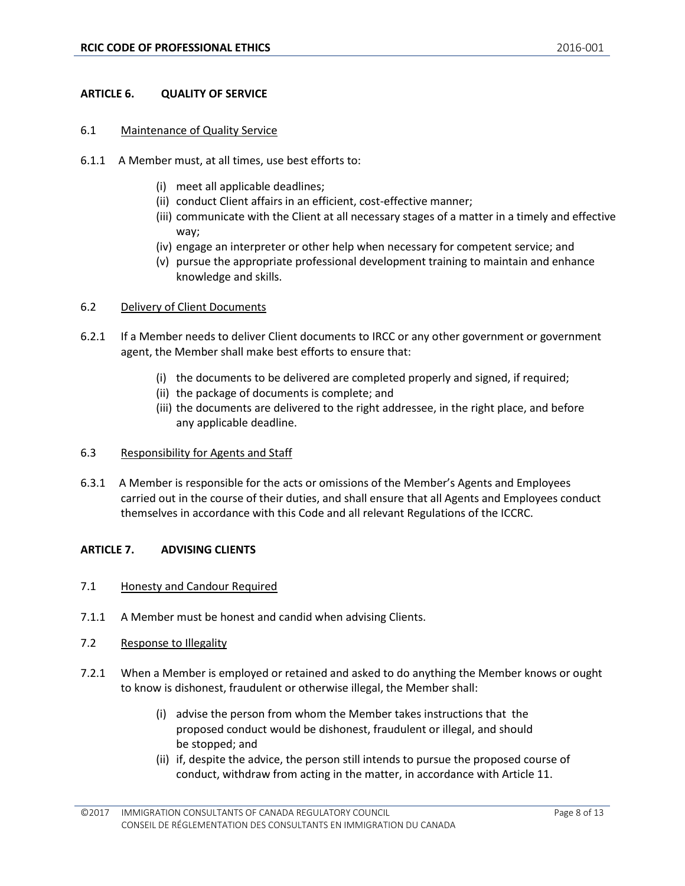# <span id="page-7-0"></span>**ARTICLE 6. QUALITY OF SERVICE**

#### <span id="page-7-1"></span>6.1 Maintenance of Quality Service

- 6.1.1 A Member must, at all times, use best efforts to:
	- (i) meet all applicable deadlines;
	- (ii) conduct Client affairs in an efficient, cost-effective manner;
	- (iii) communicate with the Client at all necessary stages of a matter in a timely and effective way;
	- (iv) engage an interpreter or other help when necessary for competent service; and
	- (v) pursue the appropriate professional development training to maintain and enhance knowledge and skills.

#### <span id="page-7-2"></span>6.2 Delivery of Client Documents

- 6.2.1 If a Member needs to deliver Client documents to IRCC or any other government or government agent, the Member shall make best efforts to ensure that:
	- (i) the documents to be delivered are completed properly and signed, if required;
	- (ii) the package of documents is complete; and
	- (iii) the documents are delivered to the right addressee, in the right place, and before any applicable deadline.

#### <span id="page-7-3"></span>6.3 Responsibility for Agents and Staff

6.3.1 A Member is responsible for the acts or omissions of the Member's Agents and Employees carried out in the course of their duties, and shall ensure that all Agents and Employees conduct themselves in accordance with this Code and all relevant Regulations of the ICCRC.

#### <span id="page-7-4"></span>**ARTICLE 7. ADVISING CLIENTS**

- <span id="page-7-5"></span>7.1 Honesty and Candour Required
- 7.1.1 A Member must be honest and candid when advising Clients.
- <span id="page-7-6"></span>7.2 Response to Illegality
- 7.2.1 When a Member is employed or retained and asked to do anything the Member knows or ought to know is dishonest, fraudulent or otherwise illegal, the Member shall:
	- (i) advise the person from whom the Member takes instructions that the proposed conduct would be dishonest, fraudulent or illegal, and should be stopped; and
	- (ii) if, despite the advice, the person still intends to pursue the proposed course of conduct, withdraw from acting in the matter, in accordance with Article 11.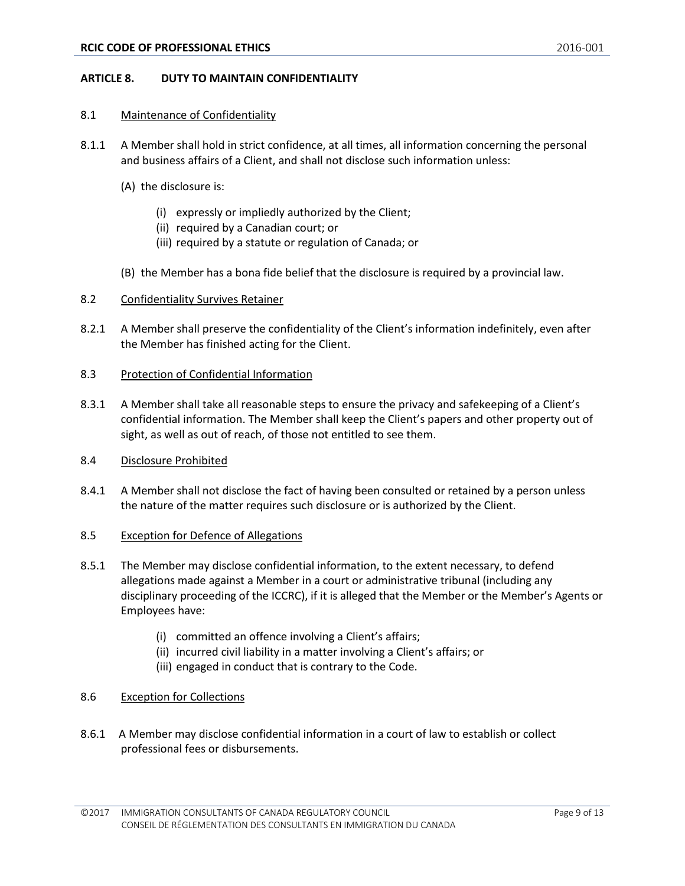#### <span id="page-8-0"></span>**ARTICLE 8. DUTY TO MAINTAIN CONFIDENTIALITY**

#### <span id="page-8-1"></span>8.1 Maintenance of Confidentiality

- 8.1.1 A Member shall hold in strict confidence, at all times, all information concerning the personal and business affairs of a Client, and shall not disclose such information unless:
	- (A) the disclosure is:
		- (i) expressly or impliedly authorized by the Client;
		- (ii) required by a Canadian court; or
		- (iii) required by a statute or regulation of Canada; or
	- (B) the Member has a bona fide belief that the disclosure is required by a provincial law.

# <span id="page-8-2"></span>8.2 Confidentiality Survives Retainer

8.2.1 A Member shall preserve the confidentiality of the Client's information indefinitely, even after the Member has finished acting for the Client.

# <span id="page-8-3"></span>8.3 Protection of Confidential Information

8.3.1 A Member shall take all reasonable steps to ensure the privacy and safekeeping of a Client's confidential information. The Member shall keep the Client's papers and other property out of sight, as well as out of reach, of those not entitled to see them.

#### <span id="page-8-4"></span>8.4 Disclosure Prohibited

8.4.1 A Member shall not disclose the fact of having been consulted or retained by a person unless the nature of the matter requires such disclosure or is authorized by the Client.

#### <span id="page-8-5"></span>8.5 Exception for Defence of Allegations

- 8.5.1 The Member may disclose confidential information, to the extent necessary, to defend allegations made against a Member in a court or administrative tribunal (including any disciplinary proceeding of the ICCRC), if it is alleged that the Member or the Member's Agents or Employees have:
	- (i) committed an offence involving a Client's affairs;
	- (ii) incurred civil liability in a matter involving a Client's affairs; or
	- (iii) engaged in conduct that is contrary to the Code.

# <span id="page-8-6"></span>8.6 Exception for Collections

8.6.1 A Member may disclose confidential information in a court of law to establish or collect professional fees or disbursements.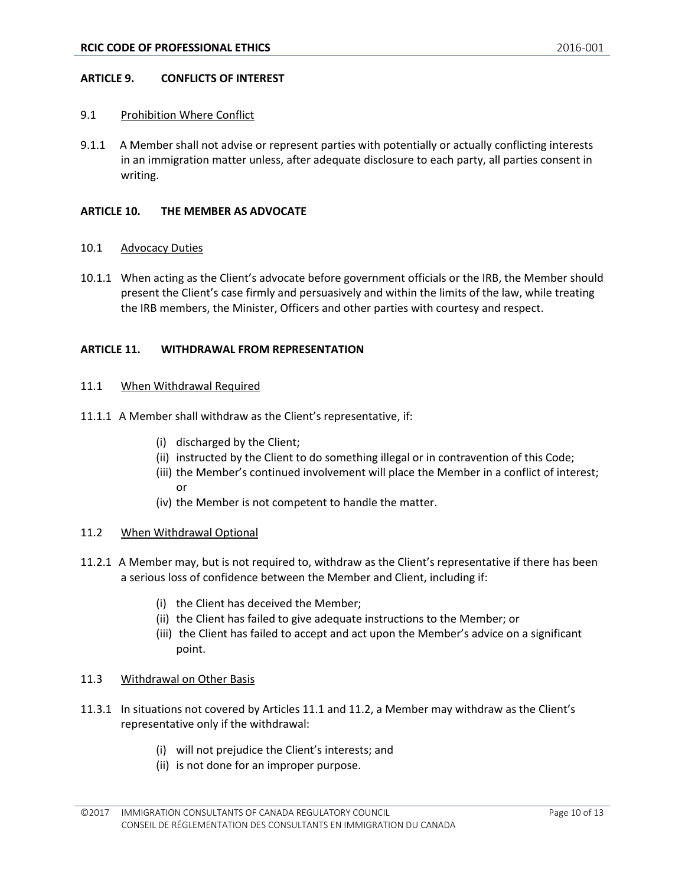#### <span id="page-9-0"></span>**ARTICLE 9. CONFLICTS OF INTEREST**

#### <span id="page-9-1"></span>9.1 Prohibition Where Conflict

9.1.1 A Member shall not advise or represent parties with potentially or actually conflicting interests in an immigration matter unless, after adequate disclosure to each party, all parties consent in writing.

#### <span id="page-9-2"></span>**ARTICLE 10. THE MEMBER AS ADVOCATE**

#### <span id="page-9-3"></span>10.1 Advocacy Duties

10.1.1 When acting as the Client's advocate before government officials or the IRB, the Member should present the Client's case firmly and persuasively and within the limits of the law, while treating the IRB members, the Minister, Officers and other parties with courtesy and respect.

#### <span id="page-9-4"></span>**ARTICLE 11. WITHDRAWAL FROM REPRESENTATION**

#### <span id="page-9-5"></span>11.1 When Withdrawal Required

- 11.1.1 A Member shall withdraw as the Client's representative, if:
	- (i) discharged by the Client;
	- (ii) instructed by the Client to do something illegal or in contravention of this Code;
	- (iii) the Member's continued involvement will place the Member in a conflict of interest; or
	- (iv) the Member is not competent to handle the matter.

#### <span id="page-9-6"></span>11.2 When Withdrawal Optional

- 11.2.1 A Member may, but is not required to, withdraw as the Client's representative if there has been a serious loss of confidence between the Member and Client, including if:
	- (i) the Client has deceived the Member;
	- (ii) the Client has failed to give adequate instructions to the Member; or
	- (iii) the Client has failed to accept and act upon the Member's advice on a significant point.

#### <span id="page-9-7"></span>11.3 Withdrawal on Other Basis

- 11.3.1 In situations not covered by Articles 11.1 and 11.2, a Member may withdraw as the Client's representative only if the withdrawal:
	- (i) will not prejudice the Client's interests; and
	- (ii) is not done for an improper purpose.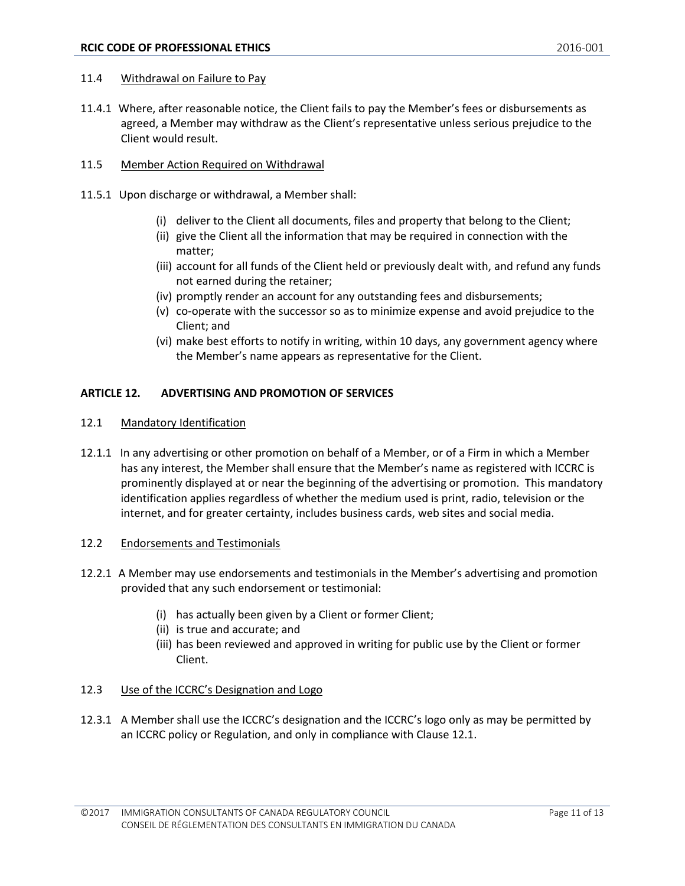#### <span id="page-10-0"></span>11.4 Withdrawal on Failure to Pay

- 11.4.1 Where, after reasonable notice, the Client fails to pay the Member's fees or disbursements as agreed, a Member may withdraw as the Client's representative unless serious prejudice to the Client would result.
- <span id="page-10-1"></span>11.5 Member Action Required on Withdrawal
- 11.5.1 Upon discharge or withdrawal, a Member shall:
	- (i) deliver to the Client all documents, files and property that belong to the Client;
	- (ii) give the Client all the information that may be required in connection with the matter;
	- (iii) account for all funds of the Client held or previously dealt with, and refund any funds not earned during the retainer;
	- (iv) promptly render an account for any outstanding fees and disbursements;
	- (v) co-operate with the successor so as to minimize expense and avoid prejudice to the Client; and
	- (vi) make best efforts to notify in writing, within 10 days, any government agency where the Member's name appears as representative for the Client.

#### <span id="page-10-2"></span>**ARTICLE 12. ADVERTISING AND PROMOTION OF SERVICES**

- <span id="page-10-3"></span>12.1 Mandatory Identification
- 12.1.1 In any advertising or other promotion on behalf of a Member, or of a Firm in which a Member has any interest, the Member shall ensure that the Member's name as registered with ICCRC is prominently displayed at or near the beginning of the advertising or promotion. This mandatory identification applies regardless of whether the medium used is print, radio, television or the internet, and for greater certainty, includes business cards, web sites and social media.

#### <span id="page-10-4"></span>12.2 Endorsements and Testimonials

- 12.2.1 A Member may use endorsements and testimonials in the Member's advertising and promotion provided that any such endorsement or testimonial:
	- (i) has actually been given by a Client or former Client;
	- (ii) is true and accurate; and
	- (iii) has been reviewed and approved in writing for public use by the Client or former Client.

#### <span id="page-10-5"></span>12.3 Use of the ICCRC's Designation and Logo

12.3.1 A Member shall use the ICCRC's designation and the ICCRC's logo only as may be permitted by an ICCRC policy or Regulation, and only in compliance with Clause 12.1.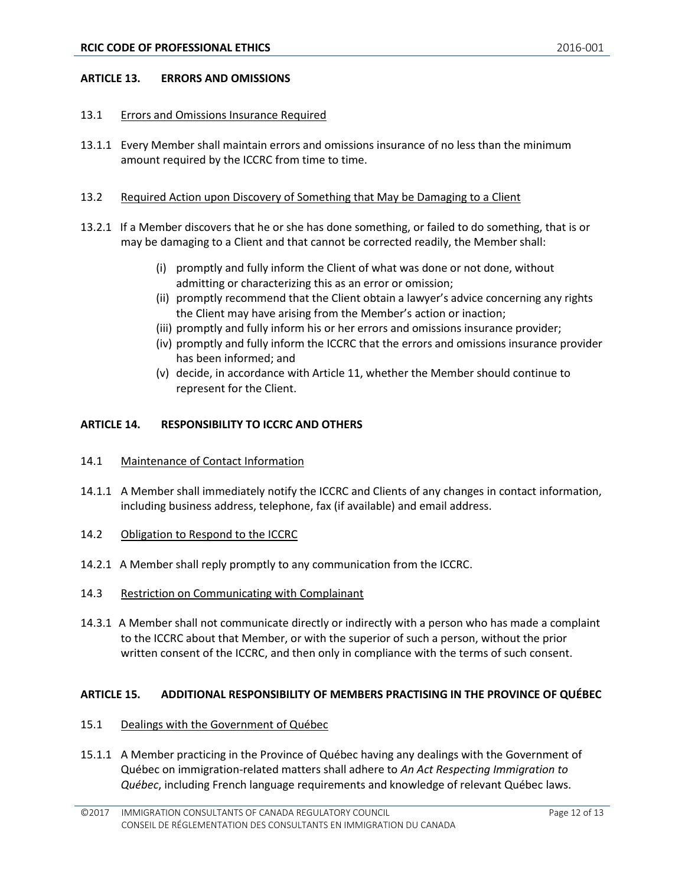#### <span id="page-11-0"></span>**ARTICLE 13. ERRORS AND OMISSIONS**

#### <span id="page-11-1"></span>13.1 Errors and Omissions Insurance Required

13.1.1 Every Member shall maintain errors and omissions insurance of no less than the minimum amount required by the ICCRC from time to time.

#### <span id="page-11-2"></span>13.2 Required Action upon Discovery of Something that May be Damaging to a Client

- 13.2.1 If a Member discovers that he or she has done something, or failed to do something, that is or may be damaging to a Client and that cannot be corrected readily, the Member shall:
	- (i) promptly and fully inform the Client of what was done or not done, without admitting or characterizing this as an error or omission;
	- (ii) promptly recommend that the Client obtain a lawyer's advice concerning any rights the Client may have arising from the Member's action or inaction;
	- (iii) promptly and fully inform his or her errors and omissions insurance provider;
	- (iv) promptly and fully inform the ICCRC that the errors and omissions insurance provider has been informed; and
	- (v) decide, in accordance with Article 11, whether the Member should continue to represent for the Client.

# <span id="page-11-3"></span>**ARTICLE 14. RESPONSIBILITY TO ICCRC AND OTHERS**

- <span id="page-11-4"></span>14.1 Maintenance of Contact Information
- 14.1.1 A Member shall immediately notify the ICCRC and Clients of any changes in contact information, including business address, telephone, fax (if available) and email address.
- <span id="page-11-5"></span>14.2 Obligation to Respond to the ICCRC
- 14.2.1 A Member shall reply promptly to any communication from the ICCRC.
- <span id="page-11-6"></span>14.3 Restriction on Communicating with Complainant
- 14.3.1 A Member shall not communicate directly or indirectly with a person who has made a complaint to the ICCRC about that Member, or with the superior of such a person, without the prior written consent of the ICCRC, and then only in compliance with the terms of such consent.

#### <span id="page-11-7"></span>**ARTICLE 15. ADDITIONAL RESPONSIBILITY OF MEMBERS PRACTISING IN THE PROVINCE OF QUÉBEC**

- <span id="page-11-8"></span>15.1 Dealings with the Government of Québec
- 15.1.1 A Member practicing in the Province of Québec having any dealings with the Government of Québec on immigration-related matters shall adhere to *An Act Respecting Immigration to Québec*, including French language requirements and knowledge of relevant Québec laws.